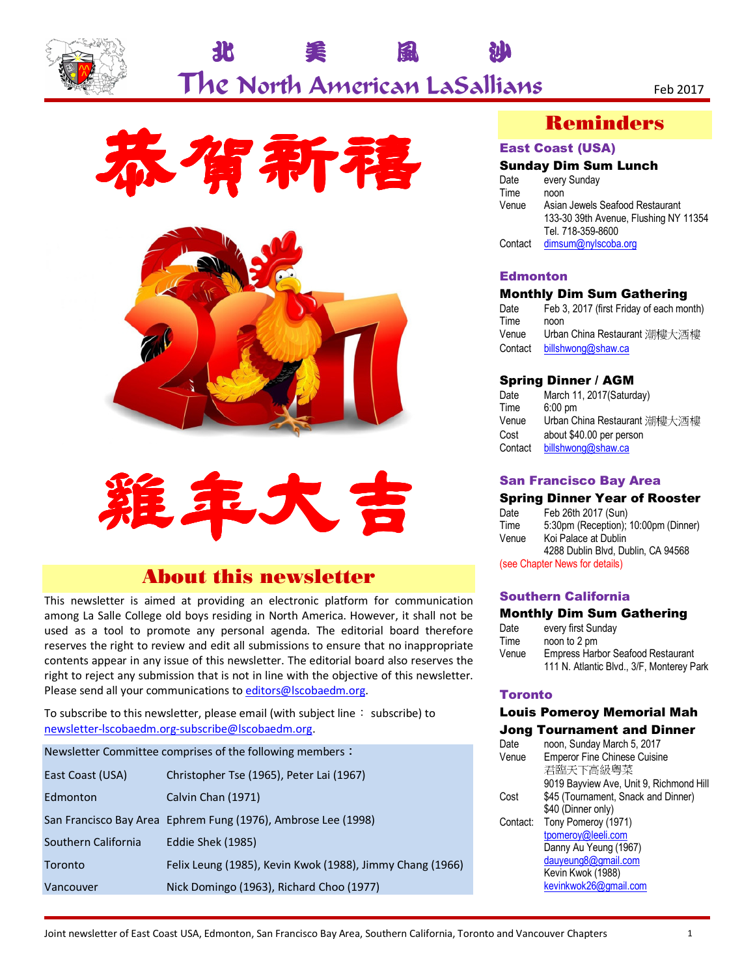

# 北 美 風 沙 The North American LaSallians Feb 2017







# About this newsletter

This newsletter is aimed at providing an electronic platform for communication among La Salle College old boys residing in North America. However, it shall not be used as a tool to promote any personal agenda. The editorial board therefore reserves the right to review and edit all submissions to ensure that no inappropriate contents appear in any issue of this newsletter. The editorial board also reserves the right to reject any submission that is not in line with the objective of this newsletter. Please send all your communications to editors@lscobaedm.org.

To subscribe to this newsletter, please email (with subject line: subscribe) to newsletter-lscobaedm.org-subscribe@lscobaedm.org.

Newsletter Committee comprises of the following members:

| East Coast (USA)    | Christopher Tse (1965), Peter Lai (1967)                      |
|---------------------|---------------------------------------------------------------|
| Edmonton            | Calvin Chan (1971)                                            |
|                     | San Francisco Bay Area Ephrem Fung (1976), Ambrose Lee (1998) |
| Southern California | Eddie Shek (1985)                                             |
| Toronto             | Felix Leung (1985), Kevin Kwok (1988), Jimmy Chang (1966)     |
| Vancouver           | Nick Domingo (1963), Richard Choo (1977)                      |

## Reminders

### East Coast (USA)

#### Sunday Dim Sum Lunch

| Date    | every Sunday                          |
|---------|---------------------------------------|
| Time    | noon                                  |
| Venue   | Asian Jewels Seafood Restaurant       |
|         | 133-30 39th Avenue, Flushing NY 11354 |
|         | Tel. 718-359-8600                     |
| Contact | dimsum@nylscoba.org                   |
|         |                                       |

#### **Edmonton**

#### Monthly Dim Sum Gathering

| Date    | Feb 3, 2017 (first Friday of each month) |
|---------|------------------------------------------|
| Time    | noon                                     |
| Venue   | Urban China Restaurant 潮樓大酒樓             |
| Contact | billshwong@shaw.ca                       |

#### Spring Dinner / AGM

| Date    | March 11, 2017(Saturday)     |
|---------|------------------------------|
| Time    | $6:00 \text{ pm}$            |
| Venue   | Urban China Restaurant 潮樓大酒樓 |
| Cost    | about \$40.00 per person     |
| Contact | billshwong@shaw.ca           |
|         |                              |

#### San Francisco Bay Area

#### Spring Dinner Year of Rooster

Date Feb 26th 2017 (Sun) Time 5:30pm (Reception); 10:00pm (Dinner) Venue Koi Palace at Dublin 4288 Dublin Blvd, Dublin, CA 94568 (see Chapter News for details)

#### Southern California

#### Monthly Dim Sum Gathering

| Date  | every first Sunday                        |
|-------|-------------------------------------------|
| Time  | noon to 2 pm                              |
| Venue | <b>Empress Harbor Seafood Restaurant</b>  |
|       | 111 N. Atlantic Blvd., 3/F, Monterey Park |

#### **Toronto**

#### Louis Pomeroy Memorial Mah Jong Tournament and Dinner

| Date     | noon, Sunday March 5, 2017              |
|----------|-----------------------------------------|
| Venue    | <b>Emperor Fine Chinese Cuisine</b>     |
|          | 君臨天下高級粵菜                                |
|          | 9019 Bayview Ave, Unit 9, Richmond Hill |
| Cost     | \$45 (Tournament, Snack and Dinner)     |
|          | \$40 (Dinner only)                      |
| Contact: | Tony Pomeroy (1971)                     |
|          | tpomeroy@leeli.com                      |
|          | Danny Au Yeung (1967)                   |
|          | dauyeung8@gmail.com                     |
|          | Kevin Kwok (1988)                       |
|          | kevinkwok26@gmail.com                   |
|          |                                         |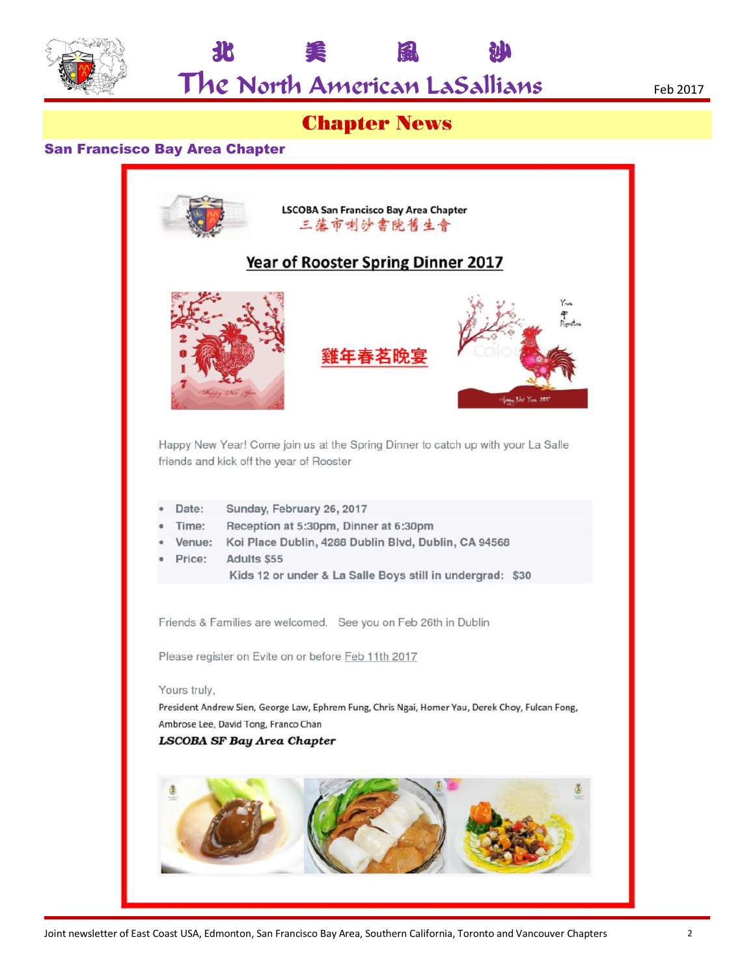

The North American LaSallians Feb 2017

北 美 風 沙

# Chapter News

### San Francisco Bay Area Chapter